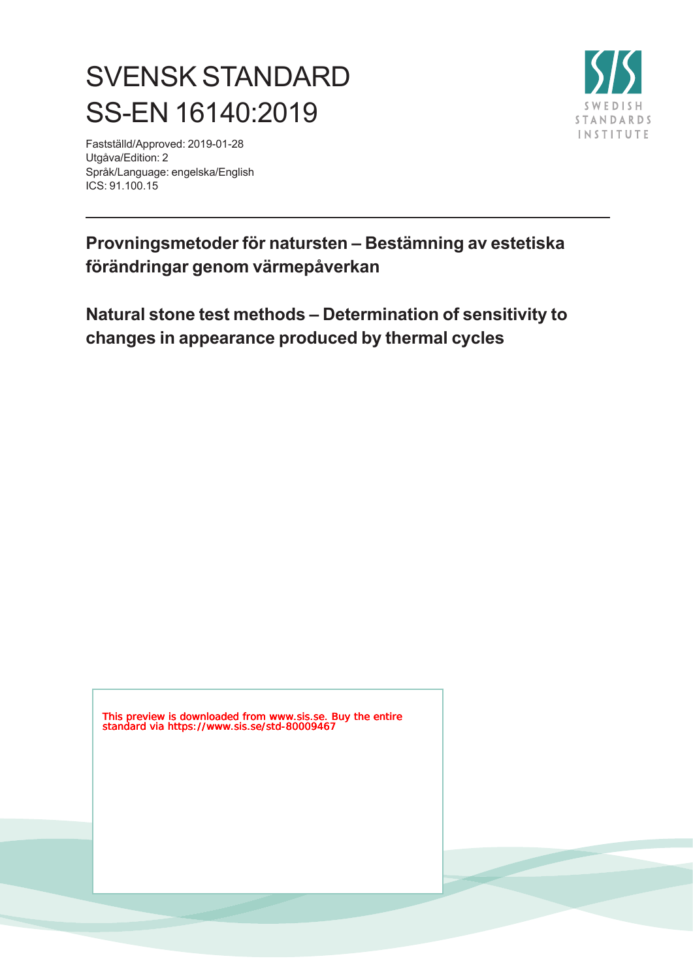# SVENSK STANDARD SS-EN 16140:2019

**SWEDISH STANDARDS INSTITUTE** 

Fastställd/Approved: 2019-01-28 Utgåva/Edition: 2 Språk/Language: engelska/English ICS: 91.100.15

## **Provningsmetoder för natursten – Bestämning av estetiska förändringar genom värmepåverkan**

**Natural stone test methods – Determination of sensitivity to changes in appearance produced by thermal cycles**

This preview is downloaded from www.sis.se. Buy the entire standard via https://www.sis.se/std-80009467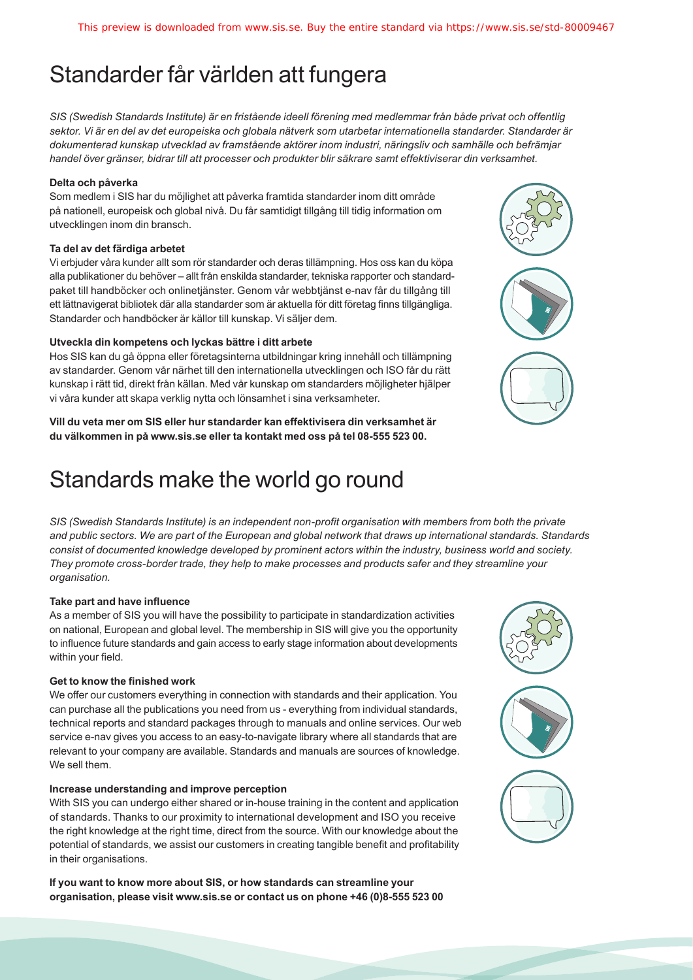## Standarder får världen att fungera

*SIS (Swedish Standards Institute) är en fristående ideell förening med medlemmar från både privat och offentlig sektor. Vi är en del av det europeiska och globala nätverk som utarbetar internationella standarder. Standarder är dokumenterad kunskap utvecklad av framstående aktörer inom industri, näringsliv och samhälle och befrämjar handel över gränser, bidrar till att processer och produkter blir säkrare samt effektiviserar din verksamhet.* 

#### **Delta och påverka**

Som medlem i SIS har du möjlighet att påverka framtida standarder inom ditt område på nationell, europeisk och global nivå. Du får samtidigt tillgång till tidig information om utvecklingen inom din bransch.

#### **Ta del av det färdiga arbetet**

Vi erbjuder våra kunder allt som rör standarder och deras tillämpning. Hos oss kan du köpa alla publikationer du behöver – allt från enskilda standarder, tekniska rapporter och standardpaket till handböcker och onlinetjänster. Genom vår webbtjänst e-nav får du tillgång till ett lättnavigerat bibliotek där alla standarder som är aktuella för ditt företag finns tillgängliga. Standarder och handböcker är källor till kunskap. Vi säljer dem.

#### **Utveckla din kompetens och lyckas bättre i ditt arbete**

Hos SIS kan du gå öppna eller företagsinterna utbildningar kring innehåll och tillämpning av standarder. Genom vår närhet till den internationella utvecklingen och ISO får du rätt kunskap i rätt tid, direkt från källan. Med vår kunskap om standarders möjligheter hjälper vi våra kunder att skapa verklig nytta och lönsamhet i sina verksamheter.

**Vill du veta mer om SIS eller hur standarder kan effektivisera din verksamhet är du välkommen in på www.sis.se eller ta kontakt med oss på tel 08-555 523 00.**

## Standards make the world go round

*SIS (Swedish Standards Institute) is an independent non-profit organisation with members from both the private and public sectors. We are part of the European and global network that draws up international standards. Standards consist of documented knowledge developed by prominent actors within the industry, business world and society. They promote cross-border trade, they help to make processes and products safer and they streamline your organisation.*

#### **Take part and have influence**

As a member of SIS you will have the possibility to participate in standardization activities on national, European and global level. The membership in SIS will give you the opportunity to influence future standards and gain access to early stage information about developments within your field.

#### **Get to know the finished work**

We offer our customers everything in connection with standards and their application. You can purchase all the publications you need from us - everything from individual standards, technical reports and standard packages through to manuals and online services. Our web service e-nav gives you access to an easy-to-navigate library where all standards that are relevant to your company are available. Standards and manuals are sources of knowledge. We sell them.

#### **Increase understanding and improve perception**

With SIS you can undergo either shared or in-house training in the content and application of standards. Thanks to our proximity to international development and ISO you receive the right knowledge at the right time, direct from the source. With our knowledge about the potential of standards, we assist our customers in creating tangible benefit and profitability in their organisations.

**If you want to know more about SIS, or how standards can streamline your organisation, please visit www.sis.se or contact us on phone +46 (0)8-555 523 00**



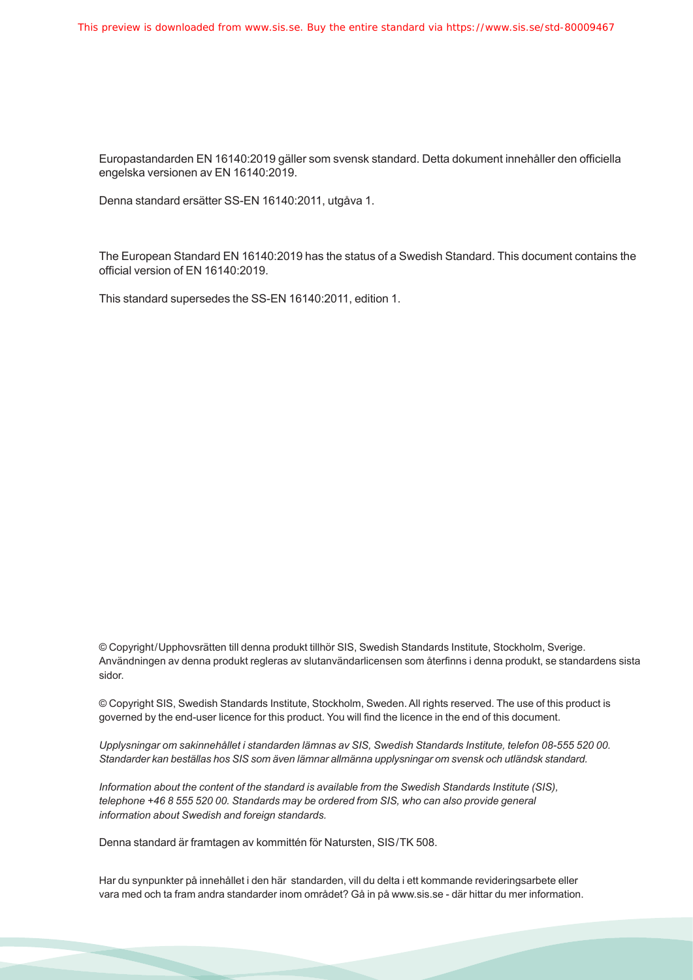Europastandarden EN 16140:2019 gäller som svensk standard. Detta dokument innehåller den officiella engelska versionen av EN 16140:2019.

Denna standard ersätter SS-EN 16140:2011, utgåva 1.

The European Standard EN 16140:2019 has the status of a Swedish Standard. This document contains the official version of EN 16140:2019.

This standard supersedes the SS-EN 16140:2011, edition 1.

© Copyright / Upphovsrätten till denna produkt tillhör SIS, Swedish Standards Institute, Stockholm, Sverige. Användningen av denna produkt regleras av slutanvändarlicensen som återfinns i denna produkt, se standardens sista sidor.

© Copyright SIS, Swedish Standards Institute, Stockholm, Sweden. All rights reserved. The use of this product is governed by the end-user licence for this product. You will find the licence in the end of this document.

*Upplysningar om sakinnehållet i standarden lämnas av SIS, Swedish Standards Institute, telefon 08-555 520 00. Standarder kan beställas hos SIS som även lämnar allmänna upplysningar om svensk och utländsk standard.*

*Information about the content of the standard is available from the Swedish Standards Institute (SIS), telephone +46 8 555 520 00. Standards may be ordered from SIS, who can also provide general information about Swedish and foreign standards.*

Denna standard är framtagen av kommittén för Natursten, SIS / TK 508.

Har du synpunkter på innehållet i den här standarden, vill du delta i ett kommande revideringsarbete eller vara med och ta fram andra standarder inom området? Gå in på www.sis.se - där hittar du mer information.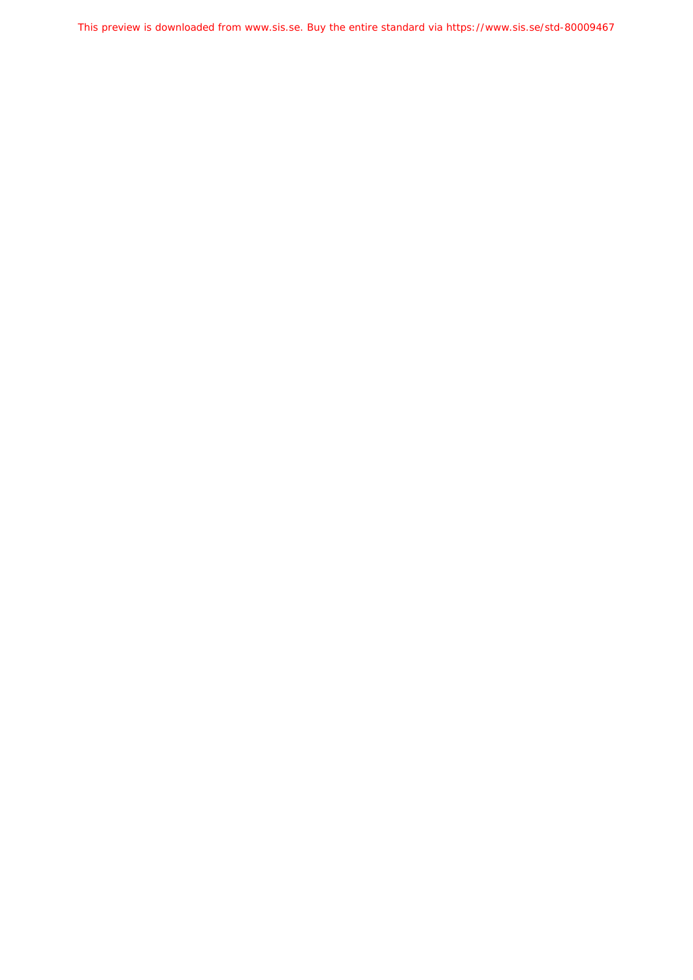This preview is downloaded from www.sis.se. Buy the entire standard via https://www.sis.se/std-80009467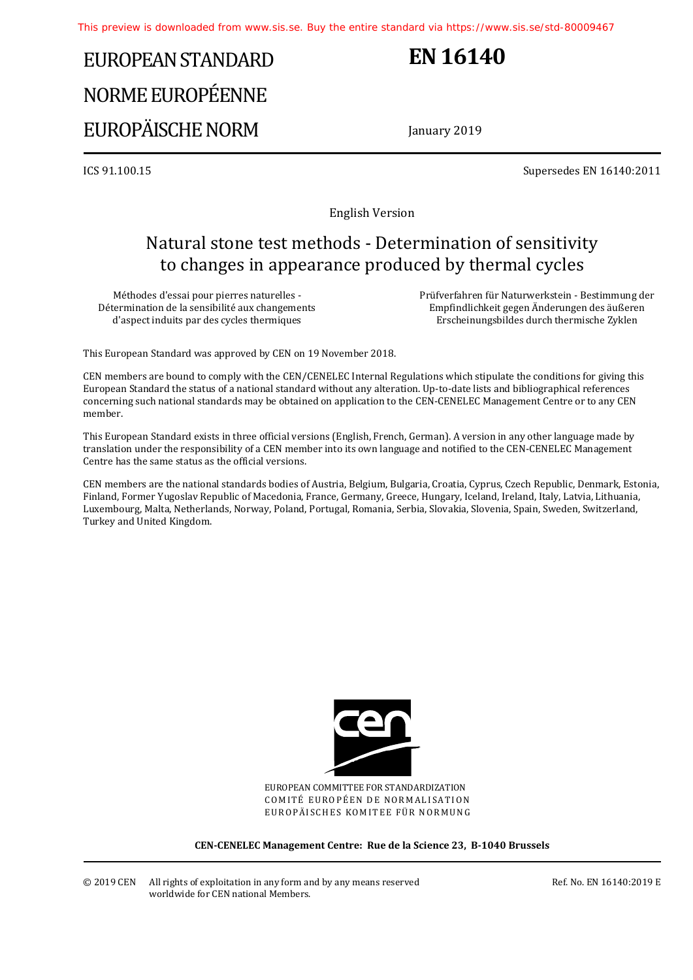## EUROPEAN STANDARD NORME EUROPÉENNE EUROPÄISCHE NORM

## **EN 16140**

January 2019

ICS 91.100.15 Supersedes EN 16140:2011

English Version

## Natural stone test methods - Determination of sensitivity to changes in appearance produced by thermal cycles

Méthodes d'essai pour pierres naturelles - Détermination de la sensibilité aux changements d'aspect induits par des cycles thermiques

 Prüfverfahren für Naturwerkstein - Bestimmung der Empfindlichkeit gegen Änderungen des äußeren Erscheinungsbildes durch thermische Zyklen

This European Standard was approved by CEN on 19 November 2018.

CEN members are bound to comply with the CEN/CENELEC Internal Regulations which stipulate the conditions for giving this European Standard the status of a national standard without any alteration. Up-to-date lists and bibliographical references concerning such national standards may be obtained on application to the CEN-CENELEC Management Centre or to any CEN member.

This European Standard exists in three official versions (English, French, German). A version in any other language made by translation under the responsibility of a CEN member into its own language and notified to the CEN-CENELEC Management Centre has the same status as the official versions.

CEN members are the national standards bodies of Austria, Belgium, Bulgaria, Croatia, Cyprus, Czech Republic, Denmark, Estonia, Finland, Former Yugoslav Republic of Macedonia, France, Germany, Greece, Hungary, Iceland, Ireland, Italy, Latvia, Lithuania, Luxembourg, Malta, Netherlands, Norway, Poland, Portugal, Romania, Serbia, Slovakia, Slovenia, Spain, Sweden, Switzerland, Turkey and United Kingdom.



EUROPEAN COMMITTEE FOR STANDARDIZATION COMITÉ EUROPÉEN DE NORMALISATION EUROPÄISCHES KOMITEE FÜR NORMUNG

**CEN-CENELEC Management Centre: Rue de la Science 23, B-1040 Brussels** 

Ref. No. EN 16140:2019 E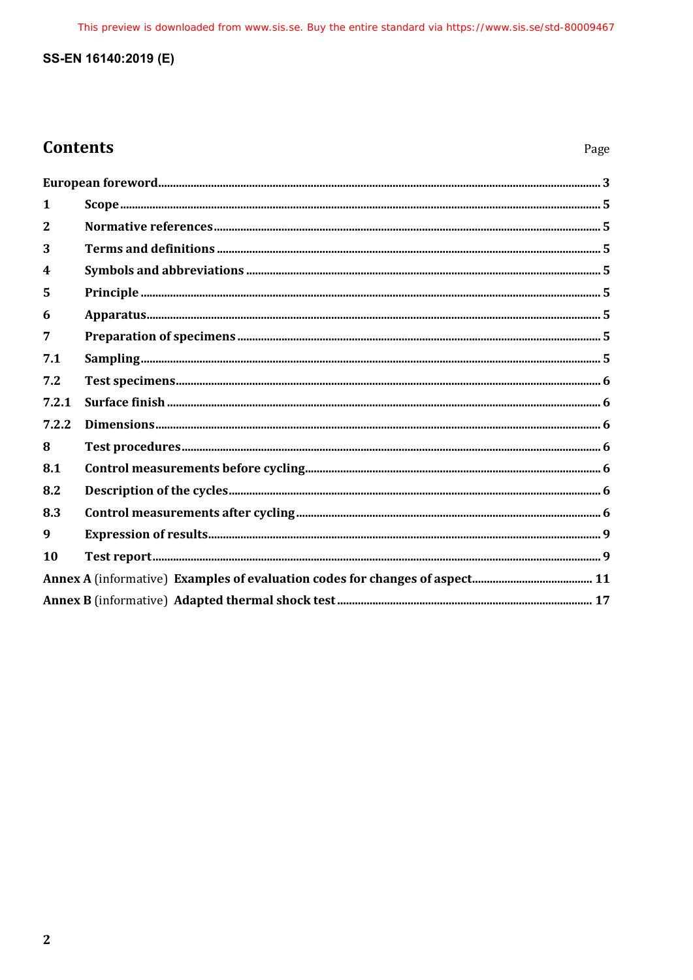This preview is downloaded from www.sis.se. Buy the entire standard via https://www.sis.se/std-80009467

### SS-EN 16140:2019 (E)

## **Contents**

| $\overline{2}$   |  |  |
|------------------|--|--|
| 3                |  |  |
| $\boldsymbol{4}$ |  |  |
| 5                |  |  |
| 6                |  |  |
| 7                |  |  |
| 7.1              |  |  |
| 7.2              |  |  |
| 7.2.1            |  |  |
| 7.2.2            |  |  |
| 8                |  |  |
| 8.1              |  |  |
| 8.2              |  |  |
| 8.3              |  |  |
| 9                |  |  |
| 10               |  |  |
|                  |  |  |
|                  |  |  |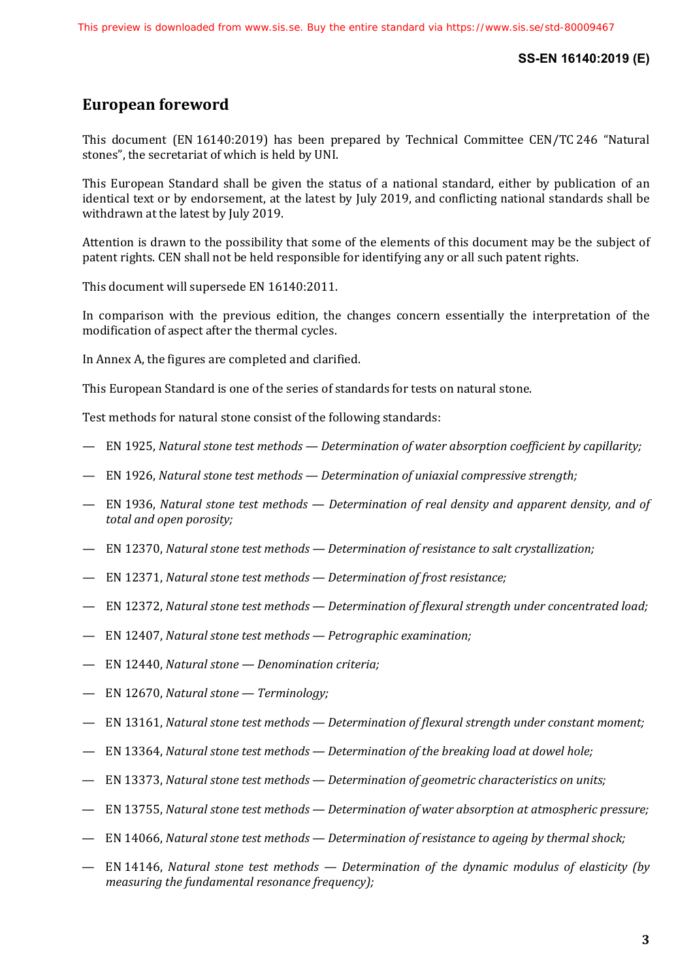## **European foreword**

This document (EN 16140:2019) has been prepared by Technical Committee CEN/TC 246 "Natural stones", the secretariat of which is held by UNI.

This European Standard shall be given the status of a national standard, either by publication of an identical text or by endorsement, at the latest by July 2019, and conflicting national standards shall be withdrawn at the latest by July 2019.

Attention is drawn to the possibility that some of the elements of this document may be the subject of patent rights. CEN shall not be held responsible for identifying any or all such patent rights.

This document will supersede EN 16140:2011.

In comparison with the previous edition, the changes concern essentially the interpretation of the modification of aspect after the thermal cycles.

In Annex A, the figures are completed and clarified.

This European Standard is one of the series of standards for tests on natural stone.

Test methods for natural stone consist of the following standards:

- EN 1925, *Natural stone test methods Determination of water absorption coefficient by capillarity;*
- EN 1926, *Natural stone test methods Determination of uniaxial compressive strength;*
- EN 1936, *Natural stone test methods Determination of real density and apparent density, and of total and open porosity;*
- EN 12370, *Natural stone test methods Determination of resistance to salt crystallization;*
- EN 12371, *Natural stone test methods Determination of frost resistance;*
- EN 12372, *Natural stone test methods Determination of flexural strength under concentrated load;*
- EN 12407, *Natural stone test methods Petrographic examination;*
- EN 12440, *Natural stone Denomination criteria;*
- EN 12670, *Natural stone Terminology;*
- EN 13161, *Natural stone test methods Determination of flexural strength under constant moment;*
- EN 13364, *Natural stone test methods Determination of the breaking load at dowel hole;*
- EN 13373, *Natural stone test methods Determination of geometric characteristics on units;*
- EN 13755, *Natural stone test methods Determination of water absorption at atmospheric pressure;*
- EN 14066, *Natural stone test methods Determination of resistance to ageing by thermal shock;*
- EN 14146, *Natural stone test methods Determination of the dynamic modulus of elasticity (by measuring the fundamental resonance frequency);*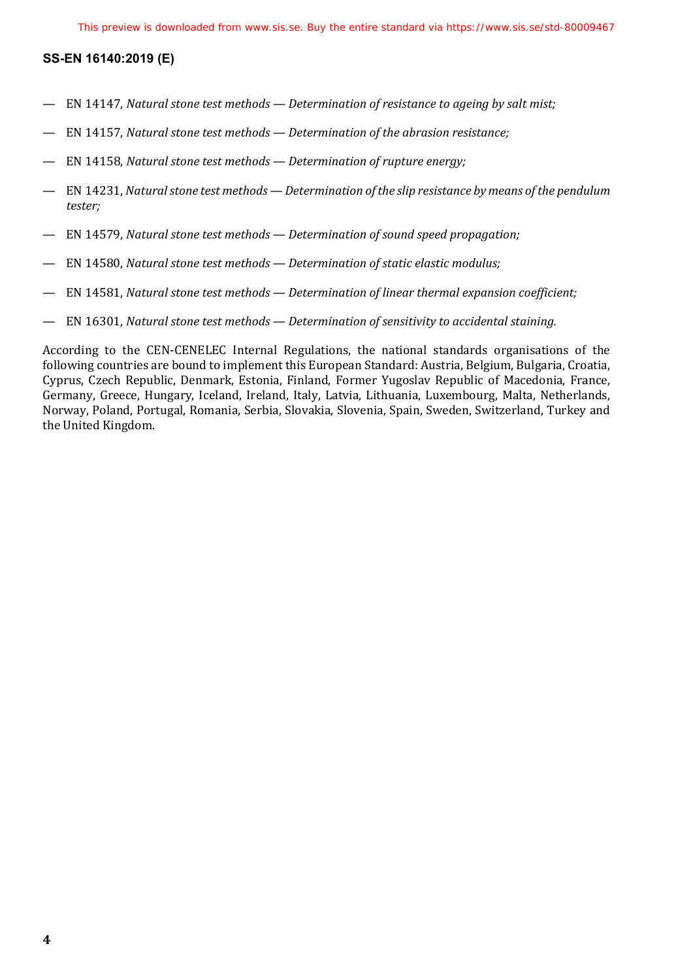- EN 14147, *Natural stone test methods Determination of resistance to ageing by salt mist;*
- EN 14157, *Natural stone test methods Determination of the abrasion resistance;*
- EN 14158, *Natural stone test methods Determination of rupture energy;*
- EN 14231, *Natural stone test methods Determination of the slip resistance by means of the pendulum tester;*
- EN 14579, *Natural stone test methods Determination of sound speed propagation;*
- EN 14580, *Natural stone test methods Determination of static elastic modulus;*
- EN 14581, *Natural stone test methods Determination of linear thermal expansion coefficient;*
- EN 16301, *Natural stone test methods Determination of sensitivity to accidental staining.*

According to the CEN-CENELEC Internal Regulations, the national standards organisations of the following countries are bound to implement this European Standard: Austria, Belgium, Bulgaria, Croatia, Cyprus, Czech Republic, Denmark, Estonia, Finland, Former Yugoslav Republic of Macedonia, France, Germany, Greece, Hungary, Iceland, Ireland, Italy, Latvia, Lithuania, Luxembourg, Malta, Netherlands, Norway, Poland, Portugal, Romania, Serbia, Slovakia, Slovenia, Spain, Sweden, Switzerland, Turkey and the United Kingdom.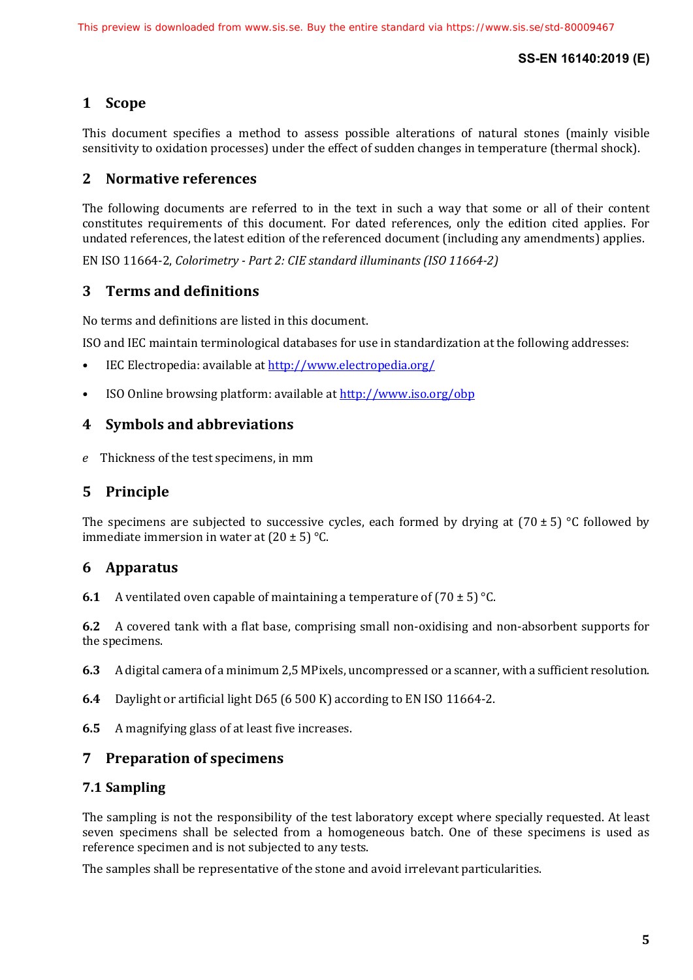## **1 Scope**

This document specifies a method to assess possible alterations of natural stones (mainly visible sensitivity to oxidation processes) under the effect of sudden changes in temperature (thermal shock).

### **2 Normative references**

The following documents are referred to in the text in such a way that some or all of their content constitutes requirements of this document. For dated references, only the edition cited applies. For undated references, the latest edition of the referenced document (including any amendments) applies.

EN ISO 11664-2, *Colorimetry - Part 2: CIE standard illuminants (ISO 11664-2)*

### **3 Terms and definitions**

No terms and definitions are listed in this document.

ISO and IEC maintain terminological databases for use in standardization at the following addresses:

- IEC Electropedia: available at http://www.electropedia.org/
- ISO Online browsing platform: available at http://www.iso.org/obp

#### **4 Symbols and abbreviations**

*e* Thickness of the test specimens, in mm

### **5 Principle**

The specimens are subjected to successive cycles, each formed by drying at  $(70 \pm 5)$  °C followed by immediate immersion in water at  $(20 \pm 5)$  °C.

#### **6 Apparatus**

**6.1** A ventilated oven capable of maintaining a temperature of  $(70 \pm 5)$  °C.

**6.2** A covered tank with a flat base, comprising small non-oxidising and non-absorbent supports for the specimens.

- **6.3** A digital camera of a minimum 2,5 MPixels, uncompressed or a scanner, with a sufficient resolution.
- **6.4** Daylight or artificial light D65 (6 500 K) according to EN ISO 11664-2.
- **6.5** A magnifying glass of at least five increases.

#### **7 Preparation of specimens**

#### **7.1 Sampling**

The sampling is not the responsibility of the test laboratory except where specially requested. At least seven specimens shall be selected from a homogeneous batch. One of these specimens is used as reference specimen and is not subjected to any tests.

The samples shall be representative of the stone and avoid irrelevant particularities.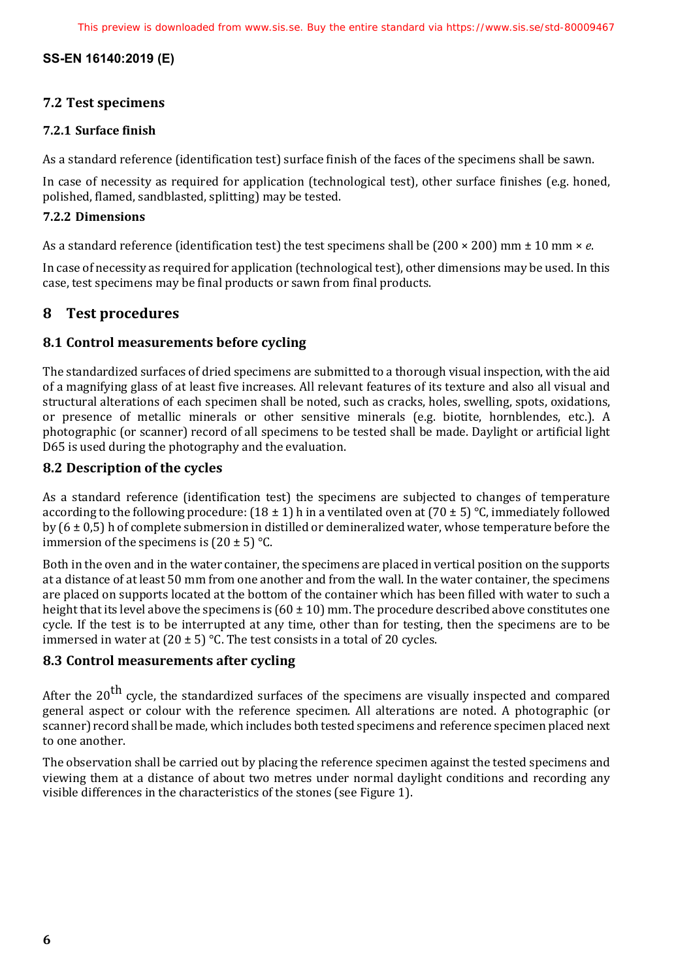#### **7.2 Test specimens**

#### **7.2.1 Surface finish**

As a standard reference (identification test) surface finish of the faces of the specimens shall be sawn.

In case of necessity as required for application (technological test), other surface finishes (e.g. honed, polished, flamed, sandblasted, splitting) may be tested.

#### **7.2.2 Dimensions**

As a standard reference (identification test) the test specimens shall be (200 × 200) mm ± 10 mm × *e*.

In case of necessity as required for application (technological test), other dimensions may be used. In this case, test specimens may be final products or sawn from final products.

## **8 Test procedures**

### **8.1 Control measurements before cycling**

The standardized surfaces of dried specimens are submitted to a thorough visual inspection, with the aid of a magnifying glass of at least five increases. All relevant features of its texture and also all visual and structural alterations of each specimen shall be noted, such as cracks, holes, swelling, spots, oxidations, or presence of metallic minerals or other sensitive minerals (e.g. biotite, hornblendes, etc.). A photographic (or scanner) record of all specimens to be tested shall be made. Daylight or artificial light D65 is used during the photography and the evaluation.

#### **8.2 Description of the cycles**

As a standard reference (identification test) the specimens are subjected to changes of temperature according to the following procedure:  $(18 \pm 1)$  h in a ventilated oven at  $(70 \pm 5)$  °C, immediately followed by  $(6 \pm 0.5)$  h of complete submersion in distilled or demineralized water, whose temperature before the immersion of the specimens is  $(20 \pm 5)$  °C.

Both in the oven and in the water container, the specimens are placed in vertical position on the supports at a distance of at least 50 mm from one another and from the wall. In the water container, the specimens are placed on supports located at the bottom of the container which has been filled with water to such a height that its level above the specimens is  $(60 \pm 10)$  mm. The procedure described above constitutes one cycle. If the test is to be interrupted at any time, other than for testing, then the specimens are to be immersed in water at  $(20 \pm 5)$  °C. The test consists in a total of 20 cycles.

#### **8.3 Control measurements after cycling**

After the 20<sup>th</sup> cycle, the standardized surfaces of the specimens are visually inspected and compared general aspect or colour with the reference specimen. All alterations are noted. A photographic (or scanner) record shall be made, which includes both tested specimens and reference specimen placed next to one another.

The observation shall be carried out by placing the reference specimen against the tested specimens and viewing them at a distance of about two metres under normal daylight conditions and recording any visible differences in the characteristics of the stones (see Figure 1).